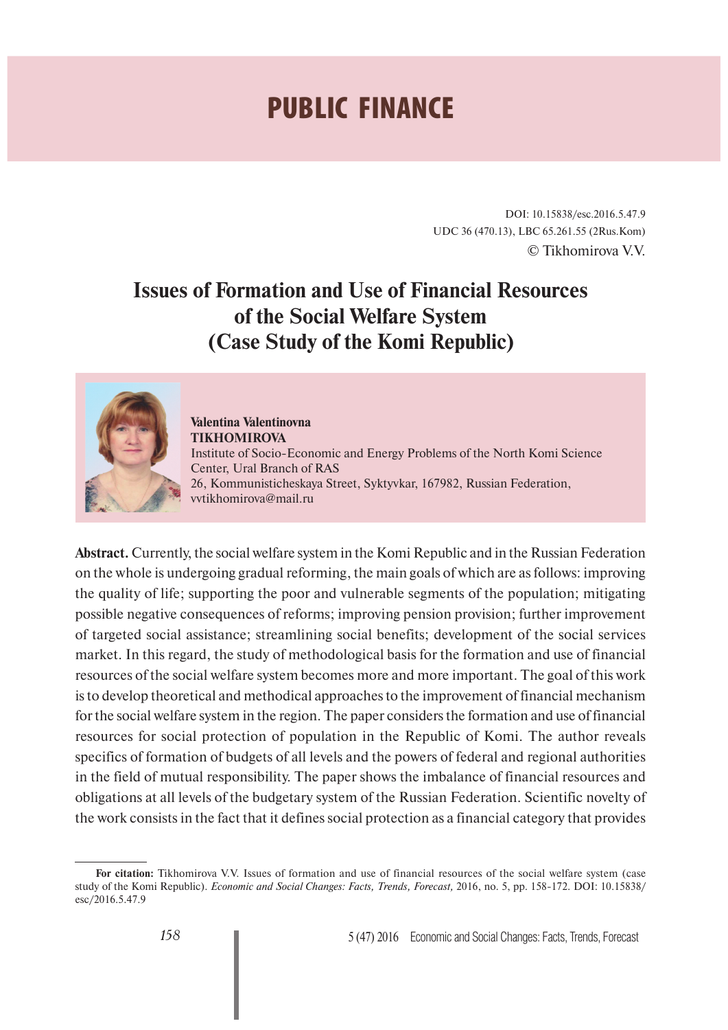## **PUBLIC FINANCE**

DOI: 10.15838/esc.2016.5.47.9 UDC 36 (470.13), LBC 65.261.55 (2Rus.Kom) © Tikhomirova V.V.

## **Issues of Formation and Use of Financial Resources of the Social Welfare System (Case Study of the Komi Republic)**



**Valentina Valentinovna TIKHOMIROVA** Institute of Socio-Economic and Energy Problems of the North Komi Science Center, Ural Branch of RAS 26, Kommunisticheskaya Street, Syktyvkar, 167982, Russian Federation, vvtikhomirova@mail.ru

**Abstract.** Currently, the social welfare system in the Komi Republic and in the Russian Federation on the whole is undergoing gradual reforming, the main goals of which are as follows: improving the quality of life; supporting the poor and vulnerable segments of the population; mitigating possible negative consequences of reforms; improving pension provision; further improvement of targeted social assistance; streamlining social benefits; development of the social services market. In this regard, the study of methodological basis for the formation and use of financial resources of the social welfare system becomes more and more important. The goal of this work is to develop theoretical and methodical approaches to the improvement of financial mechanism for the social welfare system in the region. The paper considers the formation and use of financial resources for social protection of population in the Republic of Komi. The author reveals specifics of formation of budgets of all levels and the powers of federal and regional authorities in the field of mutual responsibility. The paper shows the imbalance of financial resources and obligations at all levels of the budgetary system of the Russian Federation. Scientific novelty of the work consists in the fact that it defines social protection as a financial category that provides

**For citation:** Tikhomirova V.V. Issues of formation and use of financial resources of the social welfare system (case study of the Komi Republic). *Economic and Social Changes: Facts, Trends, Forecast,* 2016, no. 5, pp. 158-172. DOI: 10.15838/ esc/2016.5.47.9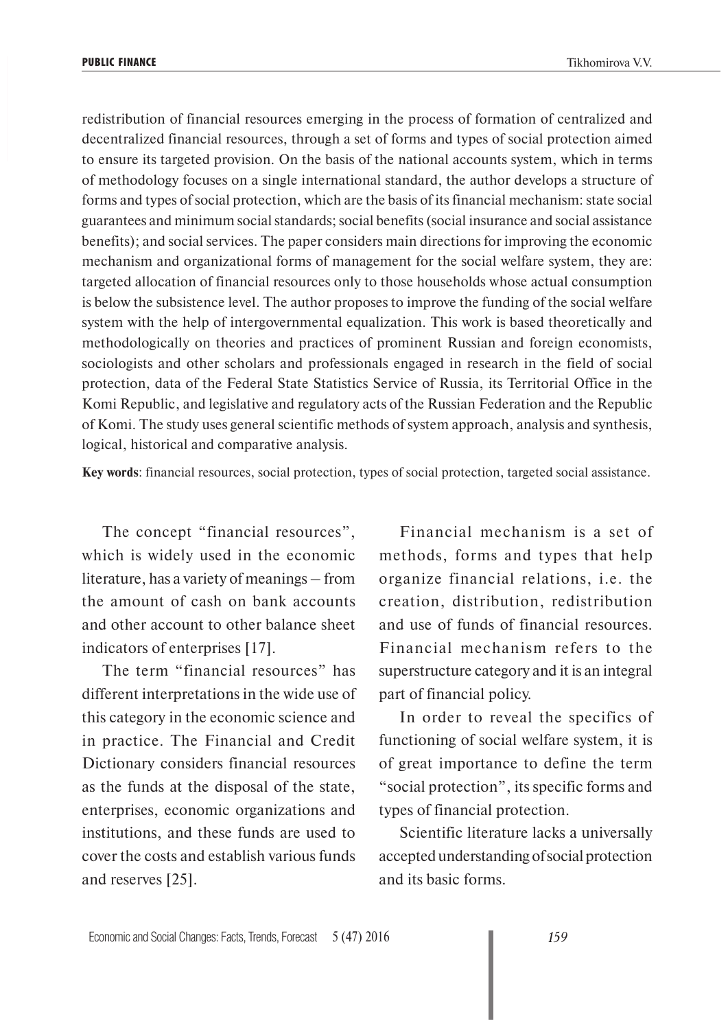redistribution of financial resources emerging in the process of formation of centralized and decentralized financial resources, through a set of forms and types of social protection aimed to ensure its targeted provision. On the basis of the national accounts system, which in terms of methodology focuses on a single international standard, the author develops a structure of forms and types of social protection, which are the basis of its financial mechanism: state social guarantees and minimum social standards; social benefits (social insurance and social assistance benefits); and social services. The paper considers main directions for improving the economic mechanism and organizational forms of management for the social welfare system, they are: targeted allocation of financial resources only to those households whose actual consumption is below the subsistence level. The author proposes to improve the funding of the social welfare system with the help of intergovernmental equalization. This work is based theoretically and methodologically on theories and practices of prominent Russian and foreign economists, sociologists and other scholars and professionals engaged in research in the field of social protection, data of the Federal State Statistics Service of Russia, its Territorial Office in the Komi Republic, and legislative and regulatory acts of the Russian Federation and the Republic of Komi. The study uses general scientific methods of system approach, analysis and synthesis, logical, historical and comparative analysis.

**Key words**: financial resources, social protection, types of social protection, targeted social assistance.

The concept "financial resources", which is widely used in the economic literature, has a variety of meanings – from the amount of cash on bank accounts and other account to other balance sheet indicators of enterprises [17].

The term "financial resources" has different interpretations in the wide use of this category in the economic science and in practice. The Financial and Credit Dictionary considers financial resources as the funds at the disposal of the state, enterprises, economic organizations and institutions, and these funds are used to cover the costs and establish various funds and reserves [25].

Financial mechanism is a set of methods, forms and types that help organize financial relations, i.e. the creation, distribution, redistribution and use of funds of financial resources. Financial mechanism refers to the superstructure category and it is an integral part of financial policy.

In order to reveal the specifics of functioning of social welfare system, it is of great importance to define the term "social protection", its specific forms and types of financial protection.

Scientific literature lacks a universally accepted understanding of social protection and its basic forms.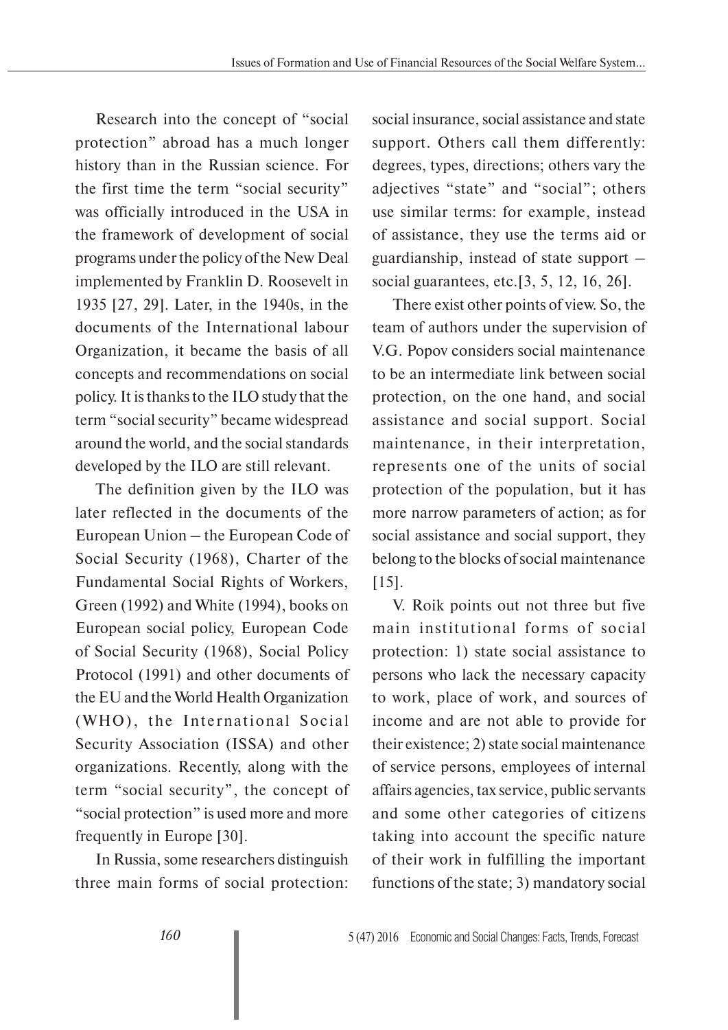Research into the concept of "social protection" abroad has a much longer history than in the Russian science. For the first time the term "social security" was officially introduced in the USA in the framework of development of social programs under the policy of the New Deal implemented by Franklin D. Roosevelt in 1935 [27, 29]. Later, in the 1940s, in the documents of the International labour Organization, it became the basis of all concepts and recommendations on social policy. It is thanks to the ILO study that the term "social security" became widespread around the world, and the social standards developed by the ILO are still relevant.

The definition given by the ILO was later reflected in the documents of the European Union – the European Code of Social Security (1968), Charter of the Fundamental Social Rights of Workers, Green (1992) and White (1994), books on European social policy, European Code of Social Security (1968), Social Policy Protocol (1991) and other documents of the EU and the World Health Organization (WHO), the International Social Security Association (ISSA) and other organizations. Recently, along with the term "social security", the concept of "social protection" is used more and more frequently in Europe [30].

In Russia, some researchers distinguish three main forms of social protection:

social insurance, social assistance and state support. Others call them differently: degrees, types, directions; others vary the adjectives "state" and "social"; others use similar terms: for example, instead of assistance, they use the terms aid or guardianship, instead of state support – social guarantees, etc.[3, 5, 12, 16, 26].

There exist other points of view. So, the team of authors under the supervision of V.G. Popov considers social maintenance to be an intermediate link between social protection, on the one hand, and social assistance and social support. Social maintenance, in their interpretation, represents one of the units of social protection of the population, but it has more narrow parameters of action; as for social assistance and social support, they belong to the blocks of social maintenance [15].

V. Roik points out not three but five main institutional forms of social protection: 1) state social assistance to persons who lack the necessary capacity to work, place of work, and sources of income and are not able to provide for their existence; 2) state social maintenance of service persons, employees of internal affairs agencies, tax service, public servants and some other categories of citizens taking into account the specific nature of their work in fulfilling the important functions of the state; 3) mandatory social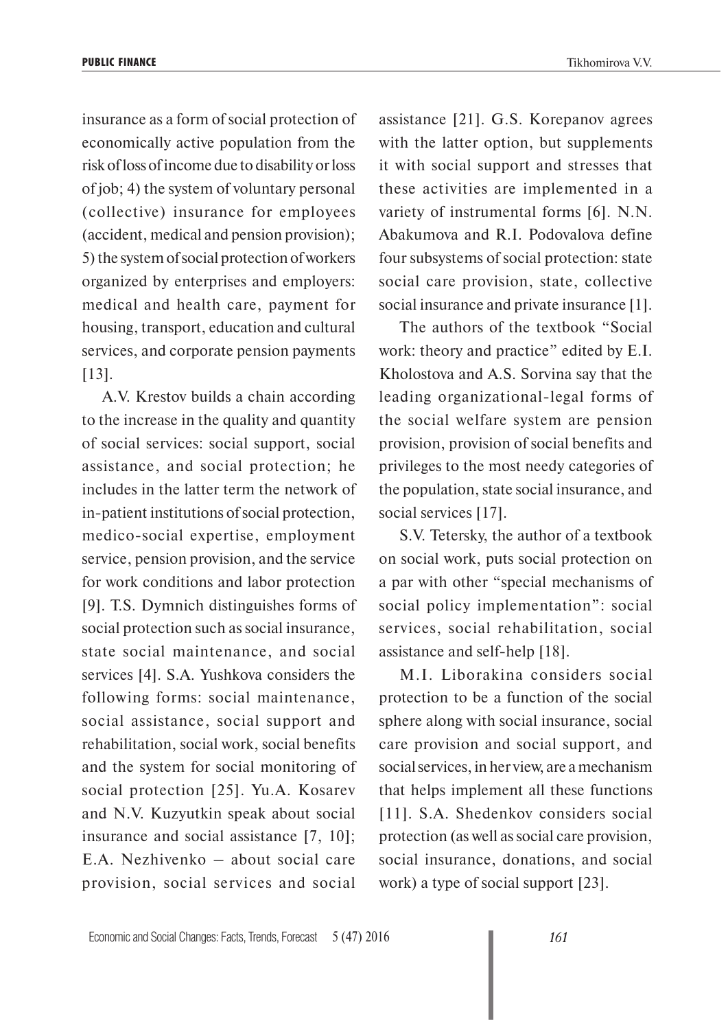insurance as a form of social protection of economically active population from the risk of loss of income due to disability or loss of job; 4) the system of voluntary personal (collective) insurance for employees (accident, medical and pension provision); 5) the system of social protection of workers organized by enterprises and employers: medical and health care, payment for housing, transport, education and cultural services, and corporate pension payments [13].

A.V. Krestov builds a chain according to the increase in the quality and quantity of social services: social support, social assistance, and social protection; he includes in the latter term the network of in-patient institutions of social protection, medico-social expertise, employment service, pension provision, and the service for work conditions and labor protection [9]. T.S. Dymnich distinguishes forms of social protection such as social insurance, state social maintenance, and social services [4]. S.A. Yushkova considers the following forms: social maintenance, social assistance, social support and rehabilitation, social work, social benefits and the system for social monitoring of social protection [25]. Yu.A. Kosarev and N.V. Kuzyutkin speak about social insurance and social assistance [7, 10]; E.A. Nezhivenko – about social care provision, social services and social

assistance [21]. G.S. Korepanov agrees with the latter option, but supplements it with social support and stresses that these activities are implemented in a variety of instrumental forms [6]. N.N. Abakumova and R.I. Podovalova define four subsystems of social protection: state social care provision, state, collective social insurance and private insurance [1].

The authors of the textbook "Social work: theory and practice" edited by E.I. Kholostova and A.S. Sorvina say that the leading organizational-legal forms of the social welfare system are pension provision, provision of social benefits and privileges to the most needy categories of the population, state social insurance, and social services [17].

S.V. Tetersky, the author of a textbook on social work, puts social protection on a par with other "special mechanisms of social policy implementation": social services, social rehabilitation, social assistance and self-help [18].

M.I. Liborakina considers social protection to be a function of the social sphere along with social insurance, social care provision and social support, and social services, in her view, are a mechanism that helps implement all these functions [11]. S.A. Shedenkov considers social protection (as well as social care provision, social insurance, donations, and social work) a type of social support [23].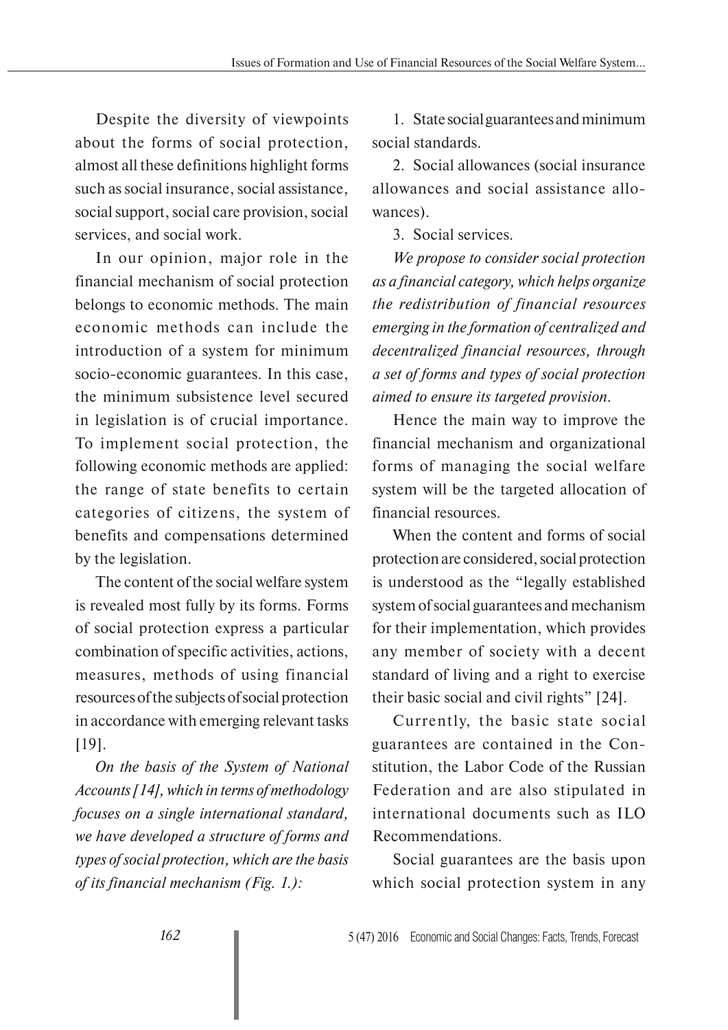Despite the diversity of viewpoints about the forms of social protection, almost all these definitions highlight forms such as social insurance, social assistance, social support, social care provision, social services, and social work.

In our opinion, major role in the financial mechanism of social protection belongs to economic methods. The main economic methods can include the introduction of a system for minimum socio-economic guarantees. In this case, the minimum subsistence level secured in legislation is of crucial importance. To implement social protection, the following economic methods are applied: the range of state benefits to certain categories of citizens, the system of benefits and compensations determined by the legislation.

The content of the social welfare system is revealed most fully by its forms. Forms of social protection express a particular combination of specific activities, actions, measures, methods of using financial resources of the subjects of social protection in accordance with emerging relevant tasks [19].

*On the basis of the System of National Accounts [14], which in terms of methodology focuses on a single international standard, we have developed a structure of forms and types of social protection, which are the basis of its financial mechanism (Fig. 1.):*

1. State social guarantees and minimum social standards.

2. Social allowances (social insurance allowances and social assistance allowances).

3. Social services.

*We propose to consider social protection as a financial category, which helps organize the redistribution of financial resources emerging in the formation of centralized and decentralized financial resources, through a set of forms and types of social protection aimed to ensure its targeted provision.*

Hence the main way to improve the financial mechanism and organizational forms of managing the social welfare system will be the targeted allocation of financial resources.

When the content and forms of social protection are considered, social protection is understood as the "legally established system of social guarantees and mechanism for their implementation, which provides any member of society with a decent standard of living and a right to exercise their basic social and civil rights" [24].

Currently, the basic state social guarantees are contained in the Constitution, the Labor Code of the Russian Federation and are also stipulated in international documents such as ILO Recommendations.

Social guarantees are the basis upon which social protection system in any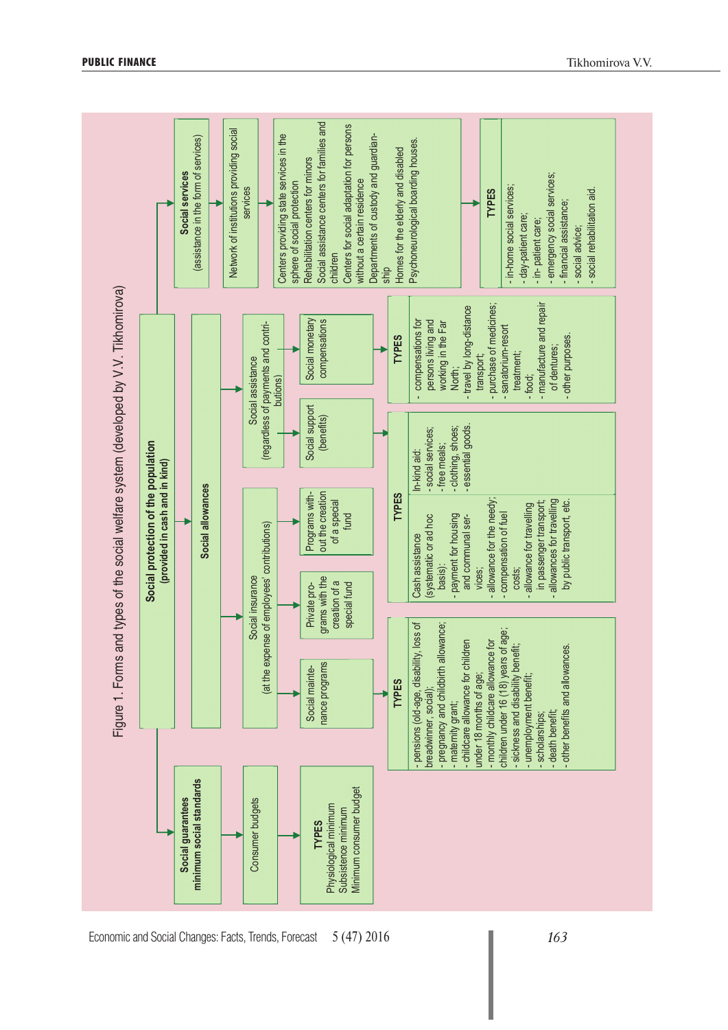

**PUBLIC FINANCE** TIKhomirova V.V.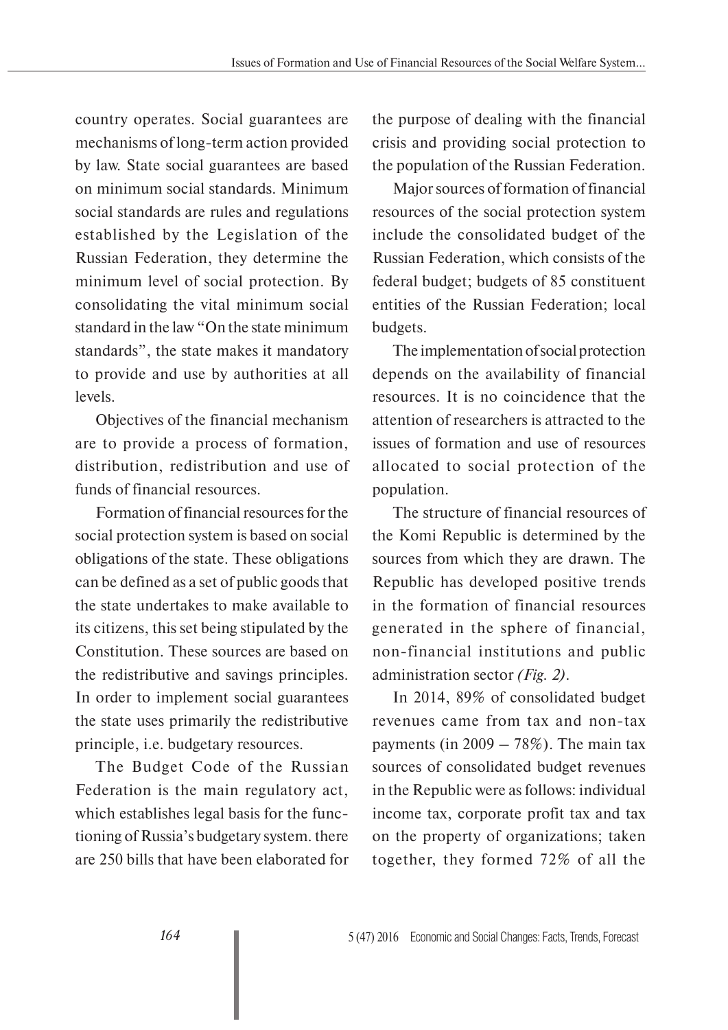country operates. Social guarantees are mechanisms of long-term action provided by law. State social guarantees are based on minimum social standards. Minimum social standards are rules and regulations established by the Legislation of the Russian Federation, they determine the minimum level of social protection. By consolidating the vital minimum social standard in the law "On the state minimum standards", the state makes it mandatory to provide and use by authorities at all levels.

Objectives of the financial mechanism are to provide a process of formation, distribution, redistribution and use of funds of financial resources.

Formation of financial resources for the social protection system is based on social obligations of the state. These obligations can be defined as a set of public goods that the state undertakes to make available to its citizens, this set being stipulated by the Constitution. These sources are based on the redistributive and savings principles. In order to implement social guarantees the state uses primarily the redistributive principle, i.e. budgetary resources.

The Budget Code of the Russian Federation is the main regulatory act, which establishes legal basis for the functioning of Russia's budgetary system. there are 250 bills that have been elaborated for the purpose of dealing with the financial crisis and providing social protection to the population of the Russian Federation.

Major sources of formation of financial resources of the social protection system include the consolidated budget of the Russian Federation, which consists of the federal budget; budgets of 85 constituent entities of the Russian Federation; local budgets.

The implementation of social protection depends on the availability of financial resources. It is no coincidence that the attention of researchers is attracted to the issues of formation and use of resources allocated to social protection of the population.

The structure of financial resources of the Komi Republic is determined by the sources from which they are drawn. The Republic has developed positive trends in the formation of financial resources generated in the sphere of financial, non-financial institutions and public administration sector *(Fig. 2)*.

In 2014, 89% of consolidated budget revenues came from tax and non-tax payments (in  $2009 - 78\%$ ). The main tax sources of consolidated budget revenues in the Republic were as follows: individual income tax, corporate profit tax and tax on the property of organizations; taken together, they formed 72% of all the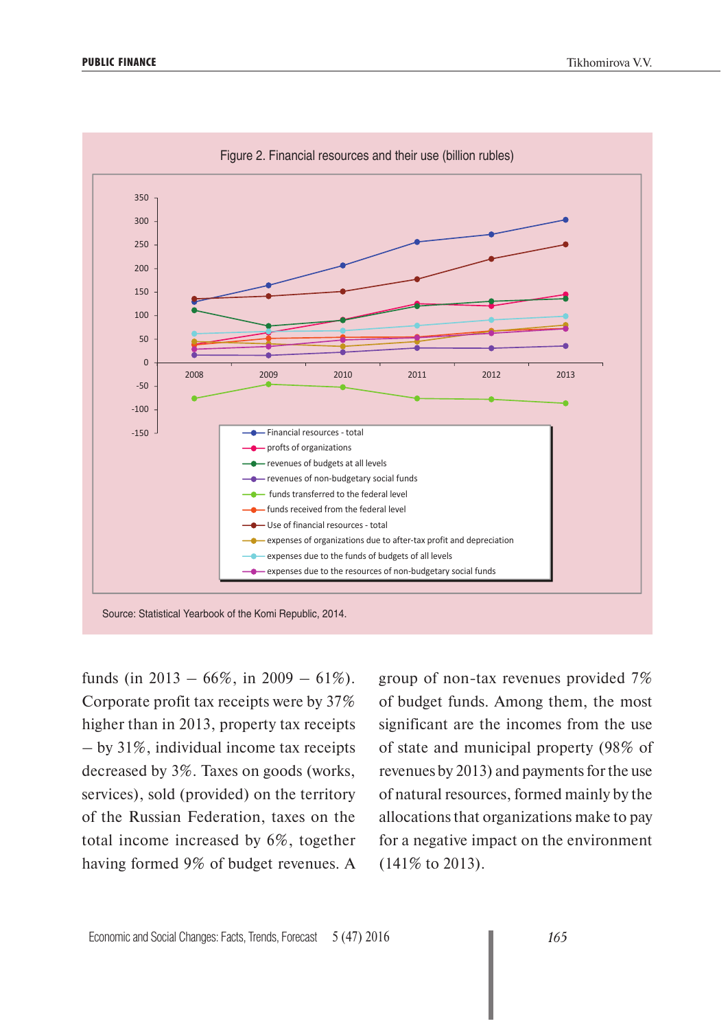

funds (in 2013 – 66%, in 2009 – 61%). Corporate profit tax receipts were by 37% higher than in 2013, property tax receipts – by 31%, individual income tax receipts decreased by 3%. Taxes on goods (works, services), sold (provided) on the territory of the Russian Federation, taxes on the total income increased by 6%, together having formed 9% of budget revenues. A

group of non-tax revenues provided 7% of budget funds. Among them, the most significant are the incomes from the use of state and municipal property (98% of revenues by 2013) and payments for the use of natural resources, formed mainly by the allocations that organizations make to pay for a negative impact on the environment (141% to 2013).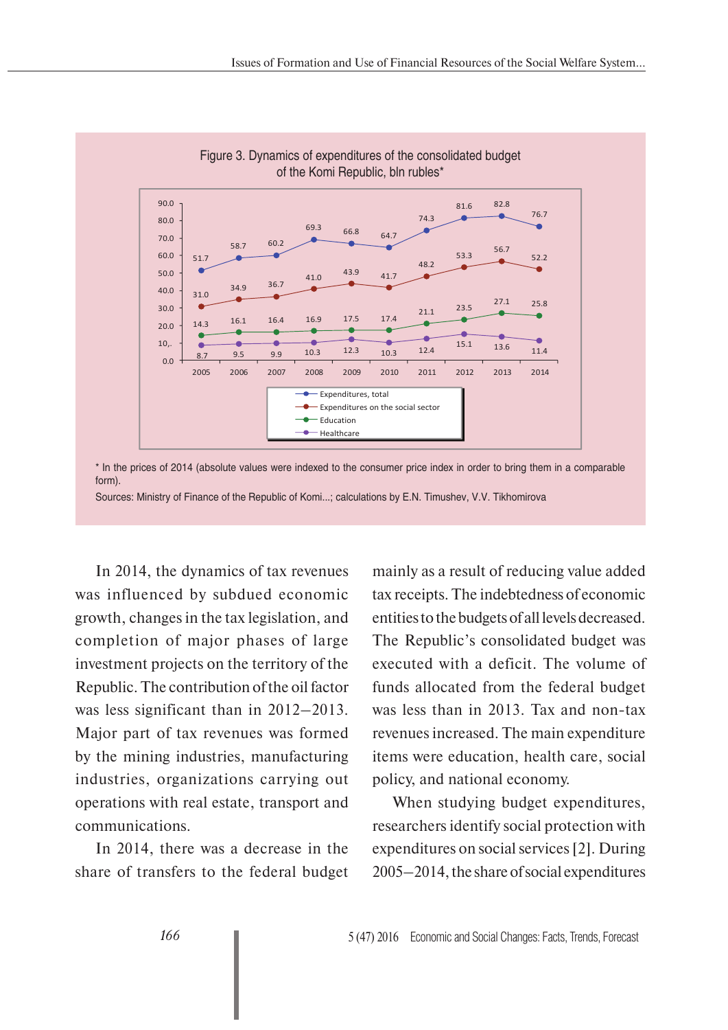

\* In the prices of 2014 (absolute values were indexed to the consumer price index in order to bring them in a comparable form).

Sources: Ministry of Finance of the Republic of Komi...; calculations by E.N. Timushev, V.V. Tikhomirova

In 2014, the dynamics of tax revenues was influenced by subdued economic growth, changes in the tax legislation, and completion of major phases of large investment projects on the territory of the Republic. The contribution of the oil factor was less significant than in 2012–2013. Major part of tax revenues was formed by the mining industries, manufacturing industries, organizations carrying out operations with real estate, transport and communications.

In 2014, there was a decrease in the share of transfers to the federal budget mainly as a result of reducing value added tax receipts. The indebtedness of economic entities to the budgets of all levels decreased. The Republic's consolidated budget was executed with a deficit. The volume of funds allocated from the federal budget was less than in 2013. Tax and non-tax revenues increased. The main expenditure items were education, health care, social policy, and national economy.

When studying budget expenditures, researchers identify social protection with expenditures on social services [2]. During 2005–2014, the share of social expenditures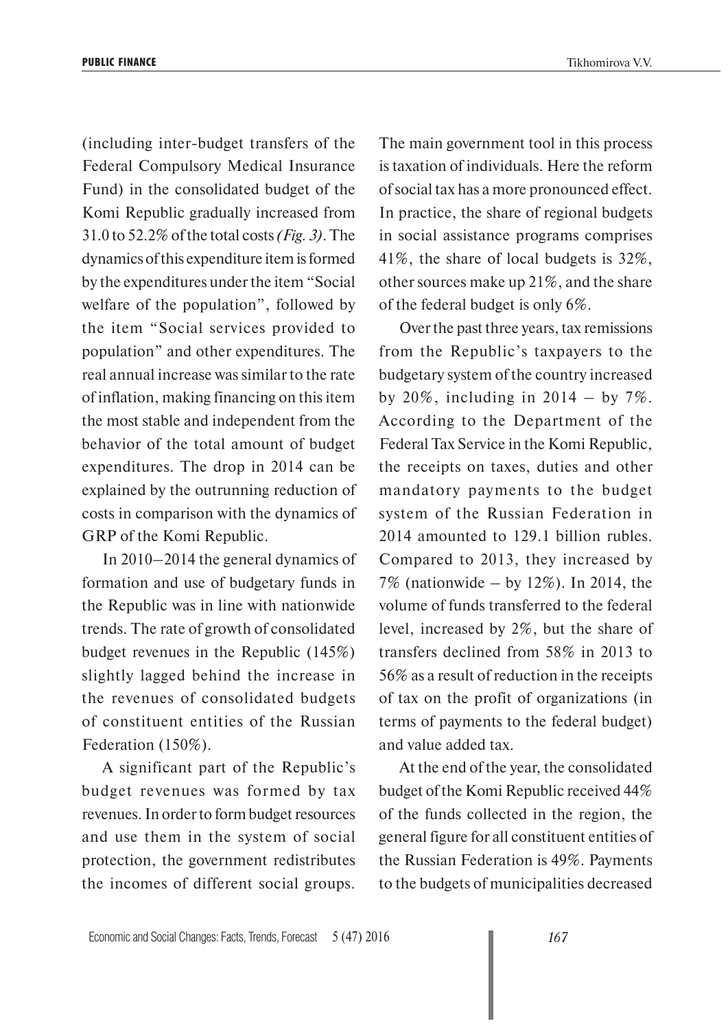(including inter-budget transfers of the Federal Compulsory Medical Insurance Fund) in the consolidated budget of the Komi Republic gradually increased from 31.0 to 52.2% of the total costs *(Fig. 3)*. The dynamics of this expenditure item is formed by the expenditures under the item "Social welfare of the population", followed by the item "Social services provided to population" and other expenditures. The real annual increase was similar to the rate of inflation, making financing on this item the most stable and independent from the behavior of the total amount of budget expenditures. The drop in 2014 can be explained by the outrunning reduction of costs in comparison with the dynamics of GRP of the Komi Republic.

In 2010–2014 the general dynamics of formation and use of budgetary funds in the Republic was in line with nationwide trends. The rate of growth of consolidated budget revenues in the Republic (145%) slightly lagged behind the increase in the revenues of consolidated budgets of constituent entities of the Russian Federation (150%).

A significant part of the Republic's budget revenues was formed by tax revenues. In order to form budget resources and use them in the system of social protection, the government redistributes the incomes of different social groups.

The main government tool in this process is taxation of individuals. Here the reform of social tax has a more pronounced effect. In practice, the share of regional budgets in social assistance programs comprises 41%, the share of local budgets is 32%, other sources make up 21%, and the share of the federal budget is only 6%.

Over the past three years, tax remissions from the Republic's taxpayers to the budgetary system of the country increased by 20%, including in 2014 – by  $7\%$ . According to the Department of the Federal Tax Service in the Komi Republic, the receipts on taxes, duties and other mandatory payments to the budget system of the Russian Federation in 2014 amounted to 129.1 billion rubles. Compared to 2013, they increased by 7% (nationwide – by 12%). In 2014, the volume of funds transferred to the federal level, increased by 2%, but the share of transfers declined from 58% in 2013 to 56% as a result of reduction in the receipts of tax on the profit of organizations (in terms of payments to the federal budget) and value added tax.

At the end of the year, the consolidated budget of the Komi Republic received 44% of the funds collected in the region, the general figure for all constituent entities of the Russian Federation is 49%. Payments to the budgets of municipalities decreased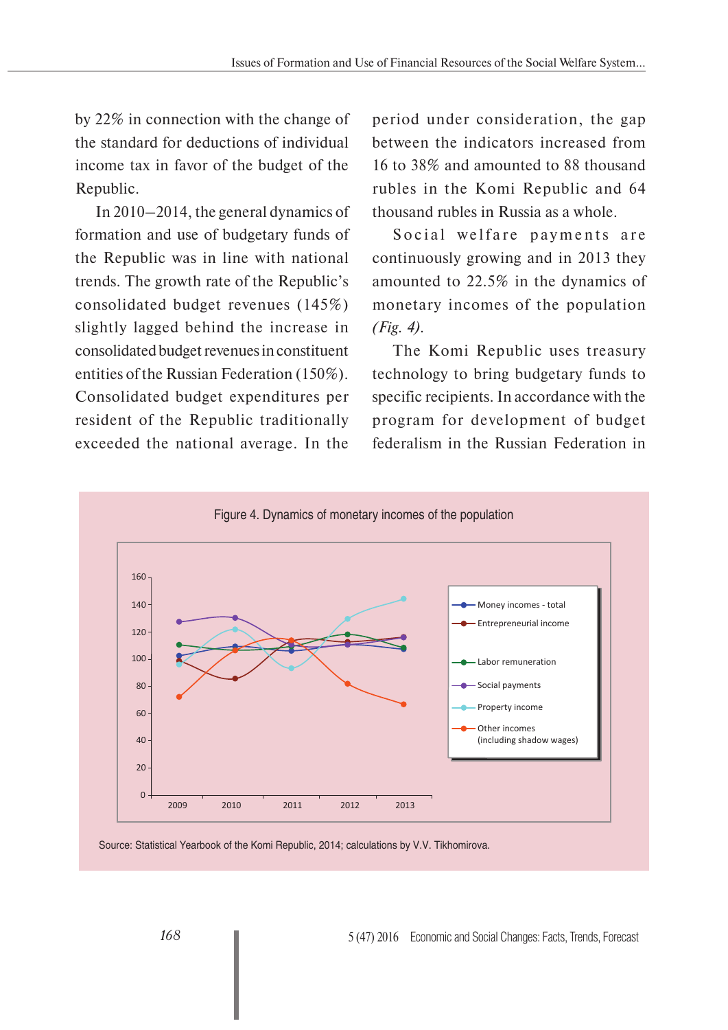by 22% in connection with the change of the standard for deductions of individual income tax in favor of the budget of the Republic.

In 2010–2014, the general dynamics of formation and use of budgetary funds of the Republic was in line with national trends. The growth rate of the Republic's consolidated budget revenues (145%) slightly lagged behind the increase in consolidated budget revenues in constituent entities of the Russian Federation (150%). Consolidated budget expenditures per resident of the Republic traditionally exceeded the national average. In the

period under consideration, the gap between the indicators increased from 16 to 38% and amounted to 88 thousand rubles in the Komi Republic and 64 thousand rubles in Russia as a whole.

Social welfare payments are continuously growing and in 2013 they amounted to 22.5% in the dynamics of monetary incomes of the population *(Fig. 4).*

The Komi Republic uses treasury technology to bring budgetary funds to specific recipients. In accordance with the program for development of budget federalism in the Russian Federation in



Source: Statistical Yearbook of the Komi Republic, 2014; calculations by V.V. Tikhomirova.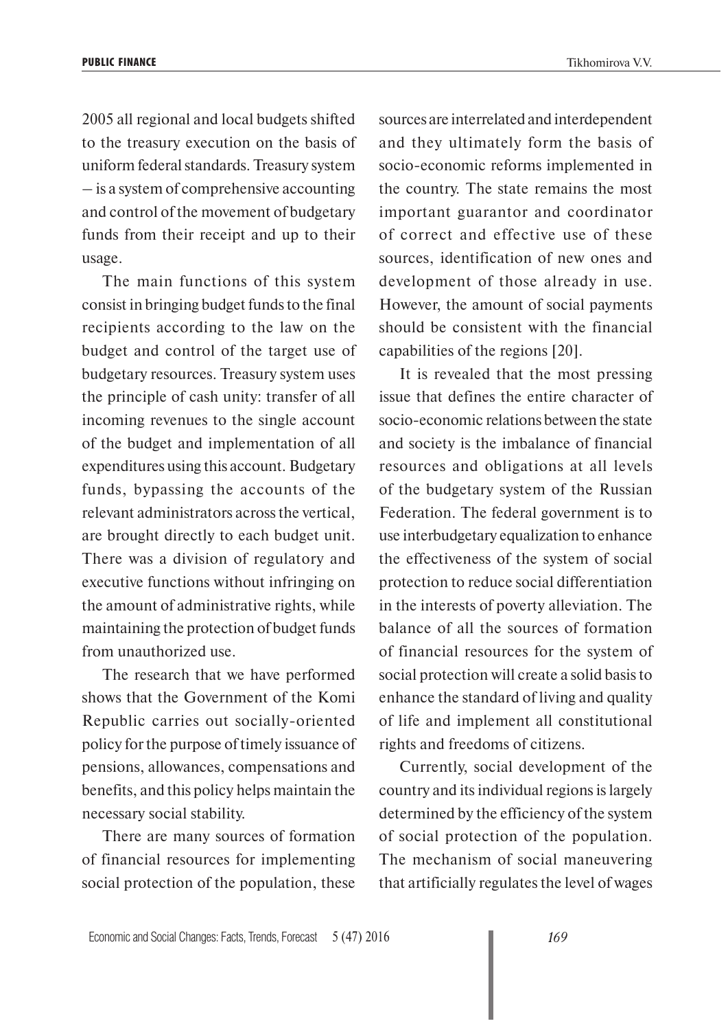2005 all regional and local budgets shifted to the treasury execution on the basis of uniform federal standards. Treasury system – is a system of comprehensive accounting and control of the movement of budgetary funds from their receipt and up to their usage.

The main functions of this system consist in bringing budget funds to the final recipients according to the law on the budget and control of the target use of budgetary resources. Treasury system uses the principle of cash unity: transfer of all incoming revenues to the single account of the budget and implementation of all expenditures using this account. Budgetary funds, bypassing the accounts of the relevant administrators across the vertical, are brought directly to each budget unit. There was a division of regulatory and executive functions without infringing on the amount of administrative rights, while maintaining the protection of budget funds from unauthorized use.

The research that we have performed shows that the Government of the Komi Republic carries out socially-oriented policy for the purpose of timely issuance of pensions, allowances, compensations and benefits, and this policy helps maintain the necessary social stability.

There are many sources of formation of financial resources for implementing social protection of the population, these

sources are interrelated and interdependent and they ultimately form the basis of socio-economic reforms implemented in the country. The state remains the most important guarantor and coordinator of correct and effective use of these sources, identification of new ones and development of those already in use. However, the amount of social payments should be consistent with the financial capabilities of the regions [20].

It is revealed that the most pressing issue that defines the entire character of socio-economic relations between the state and society is the imbalance of financial resources and obligations at all levels of the budgetary system of the Russian Federation. The federal government is to use interbudgetary equalization to enhance the effectiveness of the system of social protection to reduce social differentiation in the interests of poverty alleviation. The balance of all the sources of formation of financial resources for the system of social protection will create a solid basis to enhance the standard of living and quality of life and implement all constitutional rights and freedoms of citizens.

Currently, social development of the country and its individual regions is largely determined by the efficiency of the system of social protection of the population. The mechanism of social maneuvering that artificially regulates the level of wages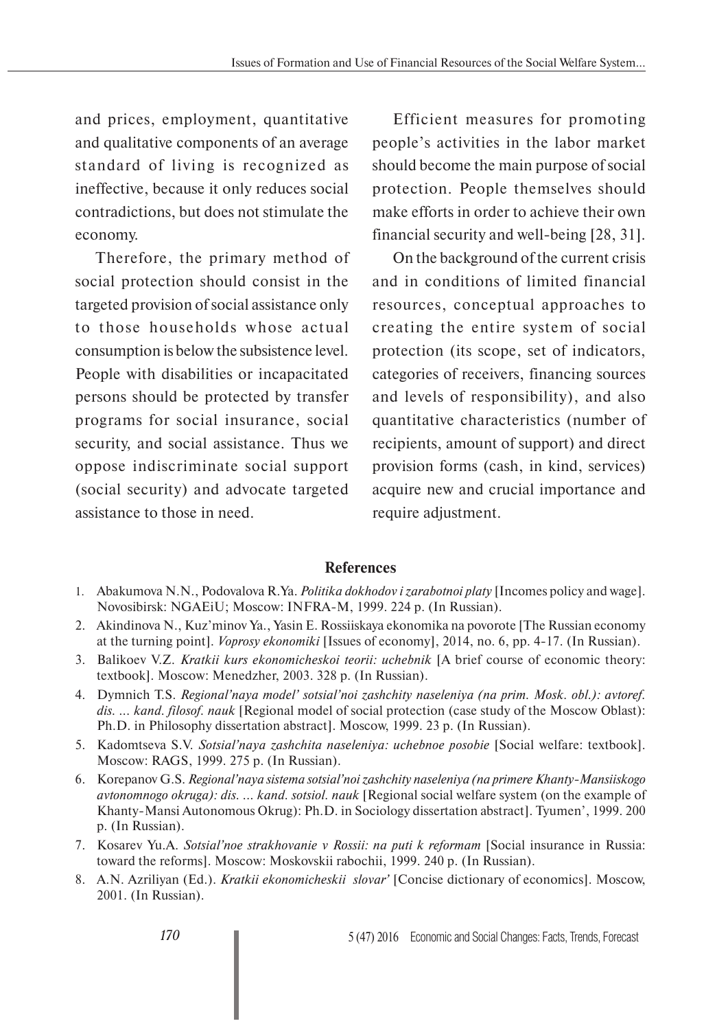and prices, employment, quantitative and qualitative components of an average standard of living is recognized as ineffective, because it only reduces social contradictions, but does not stimulate the economy.

Therefore, the primary method of social protection should consist in the targeted provision of social assistance only to those households whose actual consumption is below the subsistence level. People with disabilities or incapacitated persons should be protected by transfer programs for social insurance, social security, and social assistance. Thus we oppose indiscriminate social support (social security) and advocate targeted assistance to those in need.

Efficient measures for promoting people's activities in the labor market should become the main purpose of social protection. People themselves should make efforts in order to achieve their own financial security and well-being [28, 31].

On the background of the current crisis and in conditions of limited financial resources, conceptual approaches to creating the entire system of social protection (its scope, set of indicators, categories of receivers, financing sources and levels of responsibility), and also quantitative characteristics (number of recipients, amount of support) and direct provision forms (cash, in kind, services) acquire new and crucial importance and require adjustment.

## **References**

- 1. Abakumova N.N., Podovalova R.Ya. *Politika dokhodov i zarabotnoi platy* [Incomes policy and wage]. Novosibirsk: NGAEiU; Moscow: INFRA-M, 1999. 224 p. (In Russian).
- 2. Akindinova N., Kuz'minov Ya., Yasin E. Rossiiskaya ekonomika na povorote [The Russian economy at the turning point]. *Voprosy ekonomiki* [Issues of economy], 2014, no. 6, pp. 4-17. (In Russian).
- 3. Balikoev V.Z. *Kratkii kurs ekonomicheskoi teorii: uchebnik* [A brief course of economic theory: textbook]. Moscow: Menedzher, 2003. 328 p. (In Russian).
- 4. Dymnich T.S. *Regional'naya model' sotsial'noi zashchity naseleniya (na prim. Mosk. obl.): avtoref. dis. ... kand. filosof. nauk* [Regional model of social protection (case study of the Moscow Oblast): Ph.D. in Philosophy dissertation abstract]. Moscow, 1999. 23 p. (In Russian).
- 5. Kadomtseva S.V. *Sotsial'naya zashchita naseleniya: uchebnoe posobie* [Social welfare: textbook]. Moscow: RAGS, 1999. 275 p. (In Russian).
- 6. Korepanov G.S. *Regional'naya sistema sotsial'noi zashchity naseleniya (na primere Khanty-Mansiiskogo avtonomnogo okruga): dis. ... kand. sotsiol. nauk* [Regional social welfare system (on the example of Khanty-Mansi Autonomous Okrug): Ph.D. in Sociology dissertation abstract]. Tyumen', 1999. 200 p. (In Russian).
- 7. Kosarev Yu.A. *Sotsial'noe strakhovanie v Rossii: na puti k reformam* [Social insurance in Russia: toward the reforms]. Moscow: Moskovskii rabochii, 1999. 240 p. (In Russian).
- 8. A.N. Azriliyan (Ed.). *Kratkii ekonomicheskii slovar'* [Concise dictionary of economics]. Moscow, 2001. (In Russian).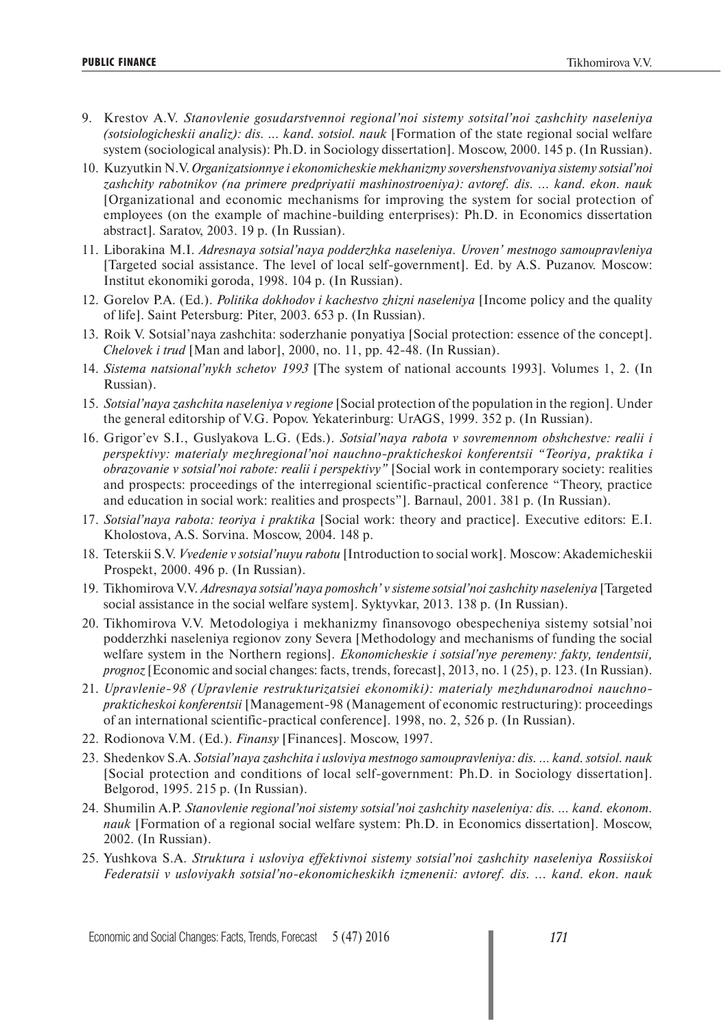- 9. Krestov A.V. *Stanovlenie gosudarstvennoi regional'noi sistemy sotsital'noi zashchity naseleniya (sotsiologicheskii analiz): dis. ... kand. sotsiol. nauk* [Formation of the state regional social welfare system (sociological analysis): Ph.D. in Sociology dissertation]. Moscow, 2000. 145 p. (In Russian).
- 10. Kuzyutkin N.V. *Organizatsionnye i ekonomicheskie mekhanizmy sovershenstvovaniya sistemy sotsial'noi zashchity rabotnikov (na primere predpriyatii mashinostroeniya): avtoref. dis. ... kand. ekon. nauk* [Organizational and economic mechanisms for improving the system for social protection of employees (on the example of machine-building enterprises): Ph.D. in Economics dissertation abstract]. Saratov, 2003. 19 p. (In Russian).
- 11. Liborakina M.I. *Adresnaya sotsial'naya podderzhka naseleniya. Uroven' mestnogo samoupravleniya* [Targeted social assistance. The level of local self-government]. Ed. by A.S. Puzanov. Moscow: Institut ekonomiki goroda, 1998. 104 p. (In Russian).
- 12. Gorelov P.A. (Ed.). *Politika dokhodov i kachestvo zhizni naseleniya* [Income policy and the quality of life]. Saint Petersburg: Piter, 2003. 653 p. (In Russian).
- 13. Roik V. Sotsial'naya zashchita: soderzhanie ponyatiya [Social protection: essence of the concept]. *Chelovek i trud* [Man and labor], 2000, no. 11, pp. 42-48. (In Russian).
- 14. *Sistema natsional'nykh schetov 1993* [The system of national accounts 1993]. Volumes 1, 2. (In Russian).
- 15. *Sotsial'naya zashchita naseleniya v regione* [Social protection of the population in the region]. Under the general editorship of V.G. Popov. Yekaterinburg: UrAGS, 1999. 352 p. (In Russian).
- 16. Grigor'ev S.I., Guslyakova L.G. (Eds.). *Sotsial'naya rabota v sovremennom obshchestve: realii i perspektivy: materialy mezhregional'noi nauchno-prakticheskoi konferentsii "Teoriya, praktika i obrazovanie v sotsial'noi rabote: realii i perspektivy"* [Social work in contemporary society: realities and prospects: proceedings of the interregional scientific-practical conference "Theory, practice and education in social work: realities and prospects"]. Barnaul, 2001. 381 p. (In Russian).
- 17. *Sotsial'naya rabota: teoriya i praktika* [Social work: theory and practice]. Executive editors: E.I. Kholostova, A.S. Sorvina. Moscow, 2004. 148 p.
- 18. Teterskii S.V. *Vvedenie v sotsial'nuyu rabotu* [Introduction to social work]. Moscow: Akademicheskii Prospekt, 2000. 496 p. (In Russian).
- 19. Tikhomirova V.V. *Adresnaya sotsial'naya pomoshch' v sisteme sotsial'noi zashchity naseleniya* [Targeted social assistance in the social welfare system]. Syktyvkar, 2013. 138 p. (In Russian).
- 20. Tikhomirova V.V. Metodologiya i mekhanizmy finansovogo obespecheniya sistemy sotsial'noi podderzhki naseleniya regionov zony Severa [Methodology and mechanisms of funding the social welfare system in the Northern regions]. *Ekonomicheskie i sotsial'nye peremeny: fakty, tendentsii, prognoz* [Economic and social changes: facts, trends, forecast], 2013, no. 1 (25), p. 123. (In Russian).
- 21. *Upravlenie-98 (Upravlenie restrukturizatsiei ekonomiki): materialy mezhdunarodnoi nauchnoprakticheskoi konferentsii* [Management-98 (Management of economic restructuring): proceedings of an international scientific-practical conference]. 1998, no. 2, 526 p. (In Russian).
- 22. Rodionova V.M. (Ed.). *Finansy* [Finances]. Moscow, 1997.
- 23. Shedenkov S.A. *Sotsial'naya zashchita i usloviya mestnogo samoupravleniya: dis. … kand. sotsiol. nauk* [Social protection and conditions of local self-government: Ph.D. in Sociology dissertation]. Belgorod, 1995. 215 p. (In Russian).
- 24. Shumilin A.P. *Stanovlenie regional'noi sistemy sotsial'noi zashchity naseleniya: dis. … kand. ekonom. nauk* [Formation of a regional social welfare system: Ph.D. in Economics dissertation]. Moscow, 2002. (In Russian).
- 25. Yushkova S.A. *Struktura i usloviya effektivnoi sistemy sotsial'noi zashchity naseleniya Rossiiskoi Federatsii v usloviyakh sotsial'no-ekonomicheskikh izmenenii: avtoref. dis. ... kand. ekon. nauk*